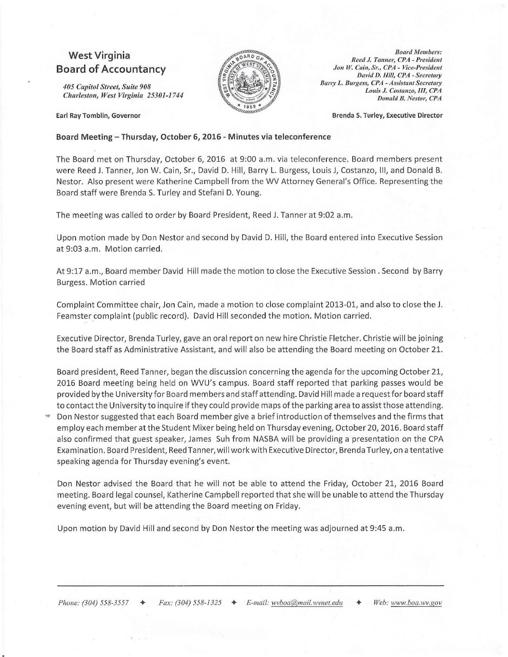## **West Virginia Board of Accountancy**

*405 Capitol Street, Suite 908 Charleston, West Virginia 25301-1744* 

Earl Ray Tomblin, Governor



*Board Members: Reed* J. *Tanner, CPA - President Jon* W. *Cain, Sr., CPA- Vice-President David D. Hill, CPA -Secretruy*  Barry L. Burgess, CPA - Assistant Secretary *Louis* .f. *Costanzo,* Ill, *CPA Donald B. Nestor, CPA* 

Brenda S. Turley, Executive Director

## **Board Meeting - Thursday, October 6, 2016- Minutes via teleconference**

The Board met on Thursday, October 6, 2016 at 9:00a.m. via teleconference. Board members present were Reed J. Tanner, Jon W. Cain, Sr., David D. Hill, Barry L. Burgess, Louis J, Costanzo, Ill, and Donald B. Nestor. Also present were Katherine Campbell from the WV Attorney General's Office. Representing the Board staff were Brenda S. Turley and Stefani D. Young.

The meeting was called to order by Board President, Reed J. Tanner at 9:02 a.m.

Upon motion made by Don Nestor and second by David D. Hill, the Board entered into Executive Session at 9:03a.m. Motion carried.

At 9:17 a.m., Board member David Hill made the motion to close the Executive Session . Second by Barry Burgess. Motion carried

Complaint Committee chair, Jon Cain, made a motion to close complaint 2013-01, and also to close the J. Feamster complaint (public record). David Hill seconded the motion. Motion carried.

Executive Director, Brenda Turley, gave an oral report on new hire Christie Fletcher. Christie will be joining the Board staff as Administrative Assistant, and will also be attending the Board meeting on October 21.

Board president, Reed Tanner, began the discussion concerning the agenda for the upcoming October 21, 2016 Board meeting being held on WVU's campus. Board staff reported that parking passes would be provided by the University for Board members and staff attending. David Hill made a request for board staff to contact the University to inquire if they could provide maps of the parking area to assist those attending. Don Nestor suggested that each Board member give a brief introduction of themselves and the firms that em ploy each member at t he Student Mixer being held on Thursday evening, October *20,* 2016. Board staff also confirmed that guest speaker, James Suh from NASBA will be providing a presentation on the CPA Examination. Board President, Reed Tanner, will work with Executive Director, Brenda Turley, on a tentative speaking agenda for Thursday evening's event.

Don Nestor advised the Board that he will not be able to attend the Friday, October 21, 2016 Board meeting. Board legal counsel, Katherine Campbell reported that she will be unable to attend the Thursday evening event, but will be attending the Board meeting on Friday.

Upon motion by David Hill and second by Don Nestor the meeting was adjourned at 9:45 a.m.